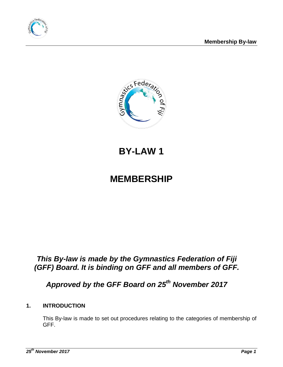



# **BY-LAW 1**

# **MEMBERSHIP**

## *This By-law is made by the Gymnastics Federation of Fiji (GFF) Board. It is binding on GFF and all members of GFF.*

# *Approved by the GFF Board on 25 th November 2017*

### **1. INTRODUCTION**

This By-law is made to set out procedures relating to the categories of membership of GFF.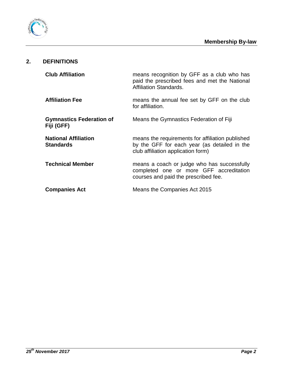

### **2. DEFINITIONS**

| <b>Club Affiliation</b>                         | means recognition by GFF as a club who has<br>paid the prescribed fees and met the National<br>Affiliation Standards.                  |  |
|-------------------------------------------------|----------------------------------------------------------------------------------------------------------------------------------------|--|
| <b>Affiliation Fee</b>                          | means the annual fee set by GFF on the club<br>for affiliation.                                                                        |  |
| <b>Gymnastics Federation of</b><br>Fiji (GFF)   | Means the Gymnastics Federation of Fiji                                                                                                |  |
| <b>National Affiliation</b><br><b>Standards</b> | means the requirements for affiliation published<br>by the GFF for each year (as detailed in the<br>club affiliation application form) |  |
| <b>Technical Member</b>                         | means a coach or judge who has successfully<br>completed one or more GFF accreditation<br>courses and paid the prescribed fee.         |  |
| <b>Companies Act</b>                            | Means the Companies Act 2015                                                                                                           |  |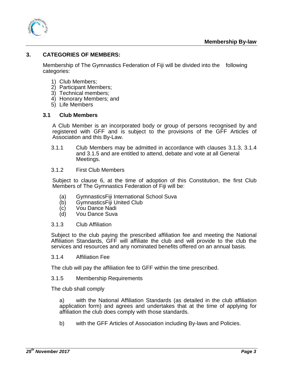

#### **3. CATEGORIES OF MEMBERS:**

Membership of The Gymnastics Federation of Fiji will be divided into the following categories:

- 1) Club Members;
- 2) Participant Members;
- 3) Technical members;
- 4) Honorary Members; and
- 5) Life Members

#### **3.1 Club Members**

A Club Member is an incorporated body or group of persons recognised by and registered with GFF and is subject to the provisions of the GFF Articles of Association and this By-Law.

- 3.1.1 Club Members may be admitted in accordance with clauses 3.1.3, 3.1.4 and 3.1.5 and are entitled to attend, debate and vote at all General Meetings.
- 3.1.2 First Club Members

Subject to clause 6, at the time of adoption of this Constitution, the first Club Members of The Gymnastics Federation of Fiji will be:

- (a) GymnasticsFiji International School Suva
- (b) GymnasticsFiji United Club
- (c) Vou Dance Nadi<br>(d) Vou Dance Suva
- Vou Dance Suva

#### 3.1.3 Club Affiliation

Subject to the club paying the prescribed affiliation fee and meeting the National Affiliation Standards, GFF will affiliate the club and will provide to the club the services and resources and any nominated benefits offered on an annual basis.

3.1.4 Affiliation Fee

The club will pay the affiliation fee to GFF within the time prescribed.

#### 3.1.5 Membership Requirements

The club shall comply

a) with the National Affiliation Standards (as detailed in the club affiliation application form) and agrees and undertakes that at the time of applying for affiliation the club does comply with those standards.

b) with the GFF Articles of Association including By-laws and Policies.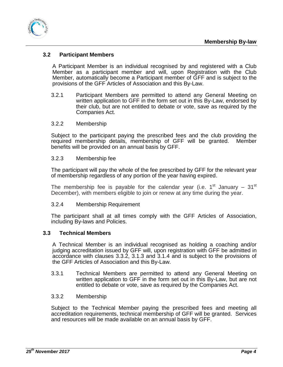

#### **3.2 Participant Members**

A Participant Member is an individual recognised by and registered with a Club Member as a participant member and will, upon Registration with the Club Member, automatically become a Participant member of GFF and is subject to the provisions of the GFF Articles of Association and this By-Law.

- 3.2.1 Participant Members are permitted to attend any General Meeting on written application to GFF in the form set out in this By-Law, endorsed by their club, but are not entitled to debate or vote, save as required by the Companies Act.
- 3.2.2 Membership

Subject to the participant paying the prescribed fees and the club providing the required membership details, membership of GFF will be granted. Member benefits will be provided on an annual basis by GFF.

#### 3.2.3 Membership fee

The participant will pay the whole of the fee prescribed by GFF for the relevant year of membership regardless of any portion of the year having expired.

The membership fee is payable for the calendar year (i.e. 1<sup>st</sup> January – 31<sup>st</sup> December), with members eligible to join or renew at any time during the year.

#### 3.2.4 Membership Requirement

The participant shall at all times comply with the GFF Articles of Association, including By-laws and Policies.

#### **3.3 Technical Members**

A Technical Member is an individual recognised as holding a coaching and/or judging accreditation issued by GFF will, upon registration with GFF be admitted in accordance with clauses 3.3.2, 3.1.3 and 3.1.4 and is subject to the provisions of the GFF Articles of Association and this By-Law.

3.3.1 Technical Members are permitted to attend any General Meeting on written application to GFF in the form set out in this By-Law, but are not entitled to debate or vote, save as required by the Companies Act.

#### 3.3.2 Membership

Subject to the Technical Member paying the prescribed fees and meeting all accreditation requirements, technical membership of GFF will be granted. Services and resources will be made available on an annual basis by GFF.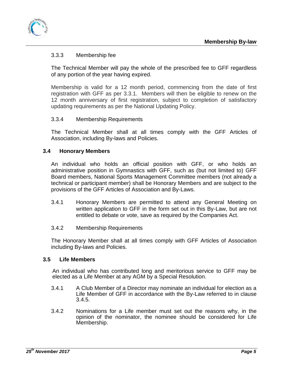

#### 3.3.3 Membership fee

The Technical Member will pay the whole of the prescribed fee to GFF regardless of any portion of the year having expired.

Membership is valid for a 12 month period, commencing from the date of first registration with GFF as per 3.3.1. Members will then be eligible to renew on the 12 month anniversary of first registration, subject to completion of satisfactory updating requirements as per the National Updating Policy.

#### 3.3.4 Membership Requirements

The Technical Member shall at all times comply with the GFF Articles of Association, including By-laws and Policies.

#### **3.4 Honorary Members**

An individual who holds an official position with GFF, or who holds an administrative position in Gymnastics with GFF, such as (but not limited to) GFF Board members, National Sports Management Committee members (not already a technical or participant member) shall be Honorary Members and are subject to the provisions of the GFF Articles of Association and By-Laws.

- 3.4.1 Honorary Members are permitted to attend any General Meeting on written application to GFF in the form set out in this By-Law, but are not entitled to debate or vote, save as required by the Companies Act.
- 3.4.2 Membership Requirements

The Honorary Member shall at all times comply with GFF Articles of Association including By-laws and Policies.

#### **3.5 Life Members**

An individual who has contributed long and meritorious service to GFF may be elected as a Life Member at any AGM by a Special Resolution.

- 3.4.1 A Club Member of a Director may nominate an individual for election as a Life Member of GFF in accordance with the By-Law referred to in clause 3.4.5.
- 3.4.2 Nominations for a Life member must set out the reasons why, in the opinion of the nominator, the nominee should be considered for Life Membership.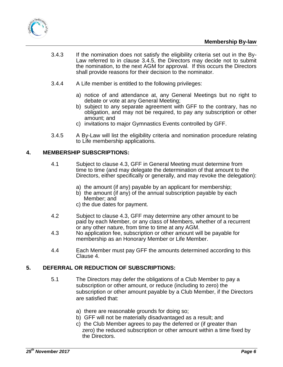



- 3.4.3 If the nomination does not satisfy the eligibility criteria set out in the By-Law referred to in clause 3.4.5, the Directors may decide not to submit the nomination, to the next AGM for approval. If this occurs the Directors shall provide reasons for their decision to the nominator.
- 3.4.4 A Life member is entitled to the following privileges:
	- a) notice of and attendance at, any General Meetings but no right to debate or vote at any General Meeting;
	- b) subject to any separate agreement with GFF to the contrary, has no obligation, and may not be required, to pay any subscription or other amount; and
	- c) invitations to major Gymnastics Events controlled by GFF.
- 3.4.5 A By-Law will list the eligibility criteria and nomination procedure relating to Life membership applications.

#### **4. MEMBERSHIP SUBSCRIPTIONS:**

- 4.1 Subject to clause 4.3, GFF in General Meeting must determine from time to time (and may delegate the determination of that amount to the Directors, either specifically or generally, and may revoke the delegation):
	- a) the amount (if any) payable by an applicant for membership;
	- b) the amount (if any) of the annual subscription payable by each Member; and
	- c) the due dates for payment.
- 4.2 Subject to clause 4.3, GFF may determine any other amount to be paid by each Member, or any class of Members, whether of a recurrent or any other nature, from time to time at any AGM.
- 4.3 No application fee, subscription or other amount will be payable for membership as an Honorary Member or Life Member.
- 4.4 Each Member must pay GFF the amounts determined according to this Clause 4.

#### **5. DEFERRAL OR REDUCTION OF SUBSCRIPTIONS:**

- 5.1 The Directors may defer the obligations of a Club Member to pay a subscription or other amount, or reduce (including to zero) the subscription or other amount payable by a Club Member, if the Directors are satisfied that:
	- a) there are reasonable grounds for doing so;
	- b) GFF will not be materially disadvantaged as a result; and
	- c) the Club Member agrees to pay the deferred or (if greater than zero) the reduced subscription or other amount within a time fixed by the Directors.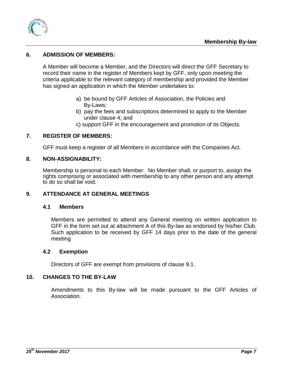

#### **6. ADMISSION OF MEMBERS:**

A Member will become a Member, and the Directors will direct the GFF Secretary to record their name in the register of Members kept by GFF, only upon meeting the criteria applicable to the relevant category of membership and provided the Member has signed an application in which the Member undertakes to:

- a) be bound by GFF Articles of Association, the Policies and By-Laws;
- b) pay the fees and subscriptions determined to apply to the Member under clause 4; and
- c) support GFF in the encouragement and promotion of its Objects.

#### **7. REGISTER OF MEMBERS:**

GFF must keep a register of all Members in accordance with the Companies Act.

#### **8. NON-ASSIGNABILITY:**

Membership is personal to each Member. No Member shall, or purport to, assign the rights comprising or associated with membership to any other person and any attempt to do so shall be void.

#### **9. ATTENDANCE AT GENERAL MEETINGS**

#### **4.1 Members**

Members are permitted to attend any General meeting on written application to GFF in the form set out at attachment A of this By-law as endorsed by his/her Club. Such application to be received by GFF 14 days prior to the date of the general meeting

#### **4.2 Exemption**

Directors of GFF are exempt from provisions of clause 9.1.

#### **10. CHANGES TO THE BY-LAW**

Amendments to this By-law will be made pursuant to the GFF Articles of Association.